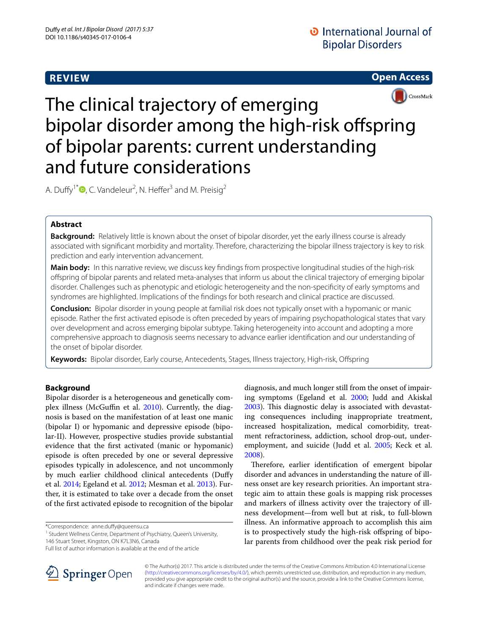# **REVIEW**

**Open Access**



# The clinical trajectory of emerging bipolar disorder among the high-risk offspring of bipolar parents: current understanding and future considerations

A. Duffy<sup>1\*</sup><sup>D</sup>[,](http://orcid.org/0000-0002-5895-075X) C. Vandeleur<sup>2</sup>, N. Heffer<sup>3</sup> and M. Preisig<sup>2</sup>

# **Abstract**

**Background:** Relatively little is known about the onset of bipolar disorder, yet the early illness course is already associated with signifcant morbidity and mortality. Therefore, characterizing the bipolar illness trajectory is key to risk prediction and early intervention advancement.

**Main body:** In this narrative review, we discuss key fndings from prospective longitudinal studies of the high-risk ofspring of bipolar parents and related meta-analyses that inform us about the clinical trajectory of emerging bipolar disorder. Challenges such as phenotypic and etiologic heterogeneity and the non-specifcity of early symptoms and syndromes are highlighted. Implications of the fndings for both research and clinical practice are discussed.

**Conclusion:** Bipolar disorder in young people at familial risk does not typically onset with a hypomanic or manic episode. Rather the frst activated episode is often preceded by years of impairing psychopathological states that vary over development and across emerging bipolar subtype. Taking heterogeneity into account and adopting a more comprehensive approach to diagnosis seems necessary to advance earlier identifcation and our understanding of the onset of bipolar disorder.

**Keywords:** Bipolar disorder, Early course, Antecedents, Stages, Illness trajectory, High-risk, Ofspring

# **Background**

Bipolar disorder is a heterogeneous and genetically com-plex illness (McGuffin et al. [2010](#page-10-0)). Currently, the diagnosis is based on the manifestation of at least one manic (bipolar I) or hypomanic and depressive episode (bipolar-II). However, prospective studies provide substantial evidence that the frst activated (manic or hypomanic) episode is often preceded by one or several depressive episodes typically in adolescence, and not uncommonly by much earlier childhood clinical antecedents (Dufy et al. [2014;](#page-9-0) Egeland et al. [2012](#page-9-1); Mesman et al. [2013](#page-10-1)). Further, it is estimated to take over a decade from the onset of the frst activated episode to recognition of the bipolar

\*Correspondence: anne.dufy@queensu.ca

<sup>1</sup> Student Wellness Centre, Department of Psychiatry, Queen's University, 146 Stuart Street, Kingston, ON K7L3N6, Canada

Full list of author information is available at the end of the article



diagnosis, and much longer still from the onset of impairing symptoms (Egeland et al. [2000](#page-9-2); Judd and Akiskal [2003](#page-9-3)). This diagnostic delay is associated with devastating consequences including inappropriate treatment, increased hospitalization, medical comorbidity, treatment refractoriness, addiction, school drop-out, underemployment, and suicide (Judd et al. [2005](#page-9-4); Keck et al. [2008](#page-9-5)).

Therefore, earlier identification of emergent bipolar disorder and advances in understanding the nature of illness onset are key research priorities. An important strategic aim to attain these goals is mapping risk processes and markers of illness activity over the trajectory of illness development—from well but at risk, to full-blown illness. An informative approach to accomplish this aim is to prospectively study the high-risk offspring of bipolar parents from childhood over the peak risk period for

© The Author(s) 2017. This article is distributed under the terms of the Creative Commons Attribution 4.0 International License [\(http://creativecommons.org/licenses/by/4.0/\)](http://creativecommons.org/licenses/by/4.0/), which permits unrestricted use, distribution, and reproduction in any medium, provided you give appropriate credit to the original author(s) and the source, provide a link to the Creative Commons license, and indicate if changes were made.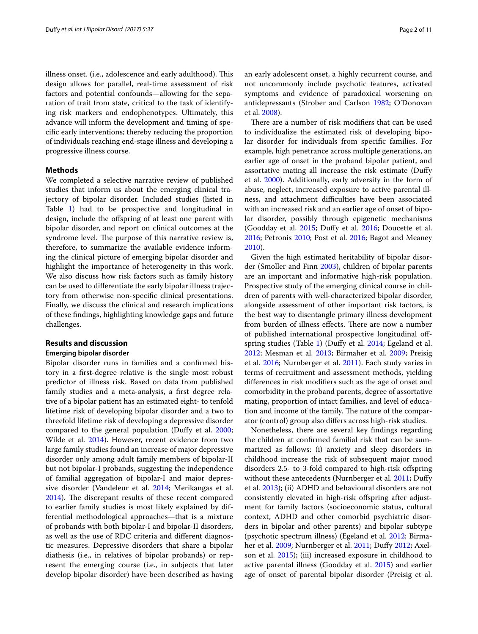illness onset. (i.e., adolescence and early adulthood). This design allows for parallel, real-time assessment of risk factors and potential confounds—allowing for the separation of trait from state, critical to the task of identifying risk markers and endophenotypes. Ultimately, this advance will inform the development and timing of specifc early interventions; thereby reducing the proportion of individuals reaching end-stage illness and developing a progressive illness course.

## **Methods**

We completed a selective narrative review of published studies that inform us about the emerging clinical trajectory of bipolar disorder. Included studies (listed in Table [1](#page-2-0)) had to be prospective and longitudinal in design, include the ofspring of at least one parent with bipolar disorder, and report on clinical outcomes at the syndrome level. The purpose of this narrative review is, therefore, to summarize the available evidence informing the clinical picture of emerging bipolar disorder and highlight the importance of heterogeneity in this work. We also discuss how risk factors such as family history can be used to diferentiate the early bipolar illness trajectory from otherwise non-specifc clinical presentations. Finally, we discuss the clinical and research implications of these fndings, highlighting knowledge gaps and future challenges.

## **Results and discussion**

# **Emerging bipolar disorder**

Bipolar disorder runs in families and a confrmed history in a frst-degree relative is the single most robust predictor of illness risk. Based on data from published family studies and a meta-analysis, a frst degree relative of a bipolar patient has an estimated eight- to tenfold lifetime risk of developing bipolar disorder and a two to threefold lifetime risk of developing a depressive disorder compared to the general population (Dufy et al. [2000](#page-9-6); Wilde et al. [2014\)](#page-10-2). However, recent evidence from two large family studies found an increase of major depressive disorder only among adult family members of bipolar-II but not bipolar-I probands, suggesting the independence of familial aggregation of bipolar-I and major depressive disorder (Vandeleur et al. [2014](#page-10-3); Merikangas et al. [2014](#page-10-4)). The discrepant results of these recent compared to earlier family studies is most likely explained by differential methodological approaches—that is a mixture of probands with both bipolar-I and bipolar-II disorders, as well as the use of RDC criteria and diferent diagnostic measures. Depressive disorders that share a bipolar diathesis (i.e., in relatives of bipolar probands) or represent the emerging course (i.e., in subjects that later develop bipolar disorder) have been described as having an early adolescent onset, a highly recurrent course, and not uncommonly include psychotic features, activated symptoms and evidence of paradoxical worsening on antidepressants (Strober and Carlson [1982;](#page-10-5) O'Donovan et al. [2008](#page-10-6)).

There are a number of risk modifiers that can be used to individualize the estimated risk of developing bipolar disorder for individuals from specifc families. For example, high penetrance across multiple generations, an earlier age of onset in the proband bipolar patient, and assortative mating all increase the risk estimate (Dufy et al. [2000\)](#page-9-6). Additionally, early adversity in the form of abuse, neglect, increased exposure to active parental illness, and attachment difficulties have been associated with an increased risk and an earlier age of onset of bipolar disorder, possibly through epigenetic mechanisms (Goodday et al. [2015](#page-9-7); Dufy et al. [2016;](#page-9-8) Doucette et al. [2016](#page-9-9); Petronis [2010](#page-10-7); Post et al. [2016](#page-10-8); Bagot and Meaney [2010](#page-9-10)).

Given the high estimated heritability of bipolar disorder (Smoller and Finn [2003](#page-10-9)), children of bipolar parents are an important and informative high-risk population. Prospective study of the emerging clinical course in children of parents with well-characterized bipolar disorder, alongside assessment of other important risk factors, is the best way to disentangle primary illness development from burden of illness effects. There are now a number of published international prospective longitudinal ofspring studies (Table [1\)](#page-2-0) (Dufy et al. [2014;](#page-9-0) Egeland et al. [2012](#page-9-1); Mesman et al. [2013](#page-10-1); Birmaher et al. [2009](#page-9-11); Preisig et al. [2016;](#page-10-10) Nurnberger et al. [2011\)](#page-10-11). Each study varies in terms of recruitment and assessment methods, yielding diferences in risk modifers such as the age of onset and comorbidity in the proband parents, degree of assortative mating, proportion of intact families, and level of education and income of the family. The nature of the comparator (control) group also difers across high-risk studies.

Nonetheless, there are several key fndings regarding the children at confrmed familial risk that can be summarized as follows: (i) anxiety and sleep disorders in childhood increase the risk of subsequent major mood disorders 2.5- to 3-fold compared to high-risk ofspring without these antecedents (Nurnberger et al. [2011;](#page-10-11) Duffy et al. [2013\)](#page-9-12); (ii) ADHD and behavioural disorders are not consistently elevated in high-risk ofspring after adjustment for family factors (socioeconomic status, cultural context, ADHD and other comorbid psychiatric disorders in bipolar and other parents) and bipolar subtype (psychotic spectrum illness) (Egeland et al. [2012;](#page-9-1) Birmaher et al. [2009](#page-9-11); Nurnberger et al. [2011](#page-10-11); Dufy [2012;](#page-9-13) Axelson et al. [2015\)](#page-9-14); (iii) increased exposure in childhood to active parental illness (Goodday et al. [2015\)](#page-9-7) and earlier age of onset of parental bipolar disorder (Preisig et al.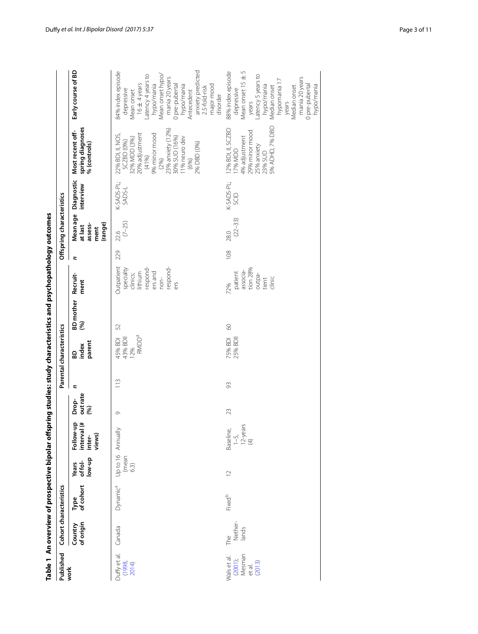<span id="page-2-0"></span>

| ì              |
|----------------|
|                |
|                |
|                |
|                |
|                |
|                |
|                |
|                |
| į              |
|                |
|                |
|                |
|                |
|                |
|                |
|                |
|                |
|                |
|                |
|                |
|                |
|                |
|                |
|                |
|                |
|                |
|                |
|                |
|                |
|                |
|                |
|                |
|                |
|                |
|                |
|                |
|                |
|                |
|                |
|                |
|                |
|                |
|                |
|                |
|                |
|                |
|                |
|                |
|                |
|                |
|                |
|                |
|                |
|                |
|                |
|                |
| $\overline{ }$ |
|                |
|                |
| <u>ale</u>     |

|                                                      |                         | Table 1 An overview of prospective bipolar offs |                            |                                                          |                           |     |                                                       |                          | pring studies: study characteristics and psychopathology outcomes                                |     |                                                   |                         |                                                                                                                                                                                   |                                                                                                                                                                                                                                                               |
|------------------------------------------------------|-------------------------|-------------------------------------------------|----------------------------|----------------------------------------------------------|---------------------------|-----|-------------------------------------------------------|--------------------------|--------------------------------------------------------------------------------------------------|-----|---------------------------------------------------|-------------------------|-----------------------------------------------------------------------------------------------------------------------------------------------------------------------------------|---------------------------------------------------------------------------------------------------------------------------------------------------------------------------------------------------------------------------------------------------------------|
| Published                                            |                         | Cohort characteristics                          |                            |                                                          |                           |     | Parental characteristics                              |                          |                                                                                                  |     | Offspring characteristics                         |                         |                                                                                                                                                                                   |                                                                                                                                                                                                                                                               |
| work                                                 | Country<br>of origin    | Type<br>of cohort                               | Years<br>of fol-<br>low-up | Follow-up<br>interval (#<br>interval<br>inter-<br>views) | out rate<br>Drop-<br>(96) | Z,  | parent<br>index<br>6                                  | <b>BD</b> mother<br>(96) | Recruit-<br>ment                                                                                 | Z,  | Mean age<br>(range)<br>assess-<br>at last<br>ment | Diagnostic<br>interview | spring diagnoses<br>Most recent off-<br>% (controls)                                                                                                                              | Early course of BD                                                                                                                                                                                                                                            |
| Duffy et al.<br>(1998,<br>2014)                      | Canada                  | Dynamic <sup>a</sup>                            | (mean<br>6.3)              | Up to 16 Annually                                        | Ò                         | 113 | <b>RMDD<sup>d</sup></b><br>43% BDII<br>45% BDI<br>12% | 52                       | respond-<br>Outpatient<br>respond-<br>specialty<br>ers and<br>lithium<br>clinics;<br>non-<br>ers | 229 | $(7 - 25)$<br>22.6                                | K-SADS-PL;<br>SADS-L    | 23% anxiety (12%)<br>20% adjustment<br>9% minor mood<br>22% BDI, II, NOS,<br>30% SUD (16%)<br>11% neuro dev<br>32% MDD (3%)<br>SCZBD (0%)<br>2% DBD (0%)<br>(41%)<br>(2%)<br>(6%) | anxiety predicted<br>84% index episode<br>Mean onset hypo/<br>Latency 4 years to<br>mania 20 years<br>$16 \pm 4$ years<br>hypo/mania<br>major mood<br>0 pre-pubertal<br>hypo/mania<br>$2.5 - 6$ ld-risk<br>depressive<br>Antecedent<br>Mean onset<br>disorder |
| (2001);<br>Mesman<br>Wals et al.<br>(2013)<br>et al. | Nether-<br>lands<br>The | Fixed <sup>b</sup>                              | $\frac{1}{2}$              | Š,<br>Baseline,<br>1–5,<br>12-year:<br>(4)               | 23                        | 93  | 75% BDI<br>25% BDII                                   | 60                       | tion 28%<br>associa-<br>patient<br>outpa-<br>clinic<br>tient<br>72%                              | 108 | $(22 - 33)$<br>28.0                               | K-SADS-PL;<br>SCID      | 23% SUD<br>5% ADHD, 7% DBD<br>12% BDI, II, SCZBD<br>29% minor mood<br>4% adjustment<br>25% anxiety<br>I7% MDD                                                                     | Mean onset 15 ± 5<br>88% index episode<br>Latency 5 years to<br>mania 20 years<br>hypomania 17<br>hypo/mania<br>hypo/mania<br>0 pre-pubertal<br>Median onset<br>Median onset<br>depressive<br>years<br>years                                                  |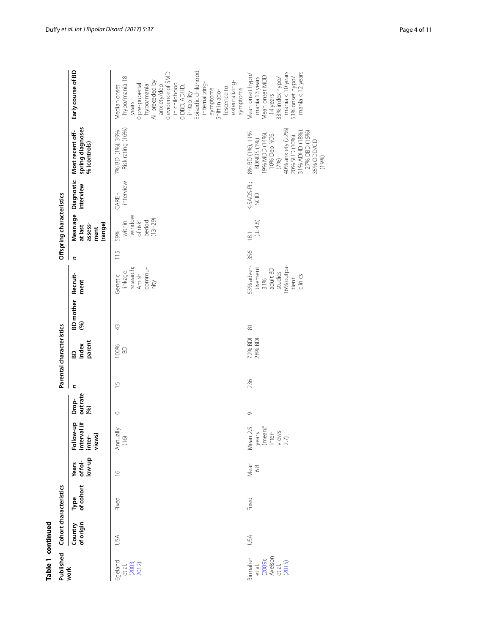| ١<br>г |
|--------|
| ı      |
| ₹      |
| c      |
|        |
| ī      |
| ٦      |
|        |

| Table 1 continued                                            |                      |                        |                            |                                                               |                         |     |                          |                          |                                                                                        |     |                                                              |                         |                                                                                                                                                                       |                                                                                                                                                                                                                                                                                                 |
|--------------------------------------------------------------|----------------------|------------------------|----------------------------|---------------------------------------------------------------|-------------------------|-----|--------------------------|--------------------------|----------------------------------------------------------------------------------------|-----|--------------------------------------------------------------|-------------------------|-----------------------------------------------------------------------------------------------------------------------------------------------------------------------|-------------------------------------------------------------------------------------------------------------------------------------------------------------------------------------------------------------------------------------------------------------------------------------------------|
| Published                                                    |                      | Cohort characteristics |                            |                                                               |                         |     | Parental characteristics |                          |                                                                                        |     | Offspring characteristics                                    |                         |                                                                                                                                                                       |                                                                                                                                                                                                                                                                                                 |
| work                                                         | Country<br>of origin | Type<br>of cohort      | Years<br>of fol-<br>low-up | Follow-up<br>interval (#<br>inter-<br>views)                  | outrate<br>Drop-<br>(%) | Z,  | parent<br>index<br>6     | <b>BD</b> mother<br>(96) | Recruit-<br>ment                                                                       | ς   | Mean age<br>(range)<br>assess-<br>at last<br>ment            | Diagnostic<br>interview | spring diagnoses<br>Most recent off-<br>% (controls)                                                                                                                  | Early course of BD                                                                                                                                                                                                                                                                              |
| Egeland<br>et al.<br>(2003,<br>2012)                         | <b>ASU</b>           | Fixed                  | $\frac{8}{1}$              | Annually<br>$\begin{pmatrix} 1 & 6 \\ 0 & 1 \end{pmatrix}$    | $\circ$                 | 5   | 100%<br><b>D</b>         | $\frac{3}{4}$            | research;<br>commu-<br>linkage<br>Amish<br>Genetic<br>nity                             | 115 | window<br>$(13 - 29)$<br>of risk'<br>period<br>within<br>59% | interview<br>CARE -     | Risk rating (16%)<br>7% BDI (1%), 39%                                                                                                                                 | Episodic childhood<br>0 evidence of SMD<br>hypo/mania 18<br>All preceded by<br>externalizing-<br>internalizing-<br>in childhood<br>0 pre-pubertal<br>hypo/mania<br>anxiety/dep<br>0 DBD, ADHD,<br>Median onset<br>lescence to<br>symptoms<br>symptoms<br>Shift in ado-<br>irritability<br>years |
| Birmaher<br>et al.<br>(2009);<br>Axelson<br>(2015)<br>et al. | USA                  | Fixed                  | Mean<br>$6.8$              | Mean 2.5<br>$\frac{1}{2}$<br>inter-<br>views<br>2.7)<br>years | $\circ$                 | 236 | 72% BDI<br>28% BDII      | $\overline{\infty}$      | 53% adver-<br>16% outpa-<br>tisement<br>adult BD<br>studies<br>clinics<br>31%<br>tient | 356 | $(\pm 4.8)$<br>18.1                                          | K-SADS-PL;<br>SCID      | 40% anxiety (22%)<br>31% ADHD (18%)<br>27% DBD (15%)<br>8% BD (1%), 11%<br>19% MDD (14%)<br>10% Dep NOS<br>20% SUD (10%)<br>BDNOS (1%)<br>35% ODD/CD<br>(19%)<br>(7%) | mania $<$ 10 years<br>mania $<$ 12 years<br>Mean onset hypo/<br>Mean onset MDD<br>mania 13 years<br>53% onset hypo/<br>33% index hypo/<br>14 years                                                                                                                                              |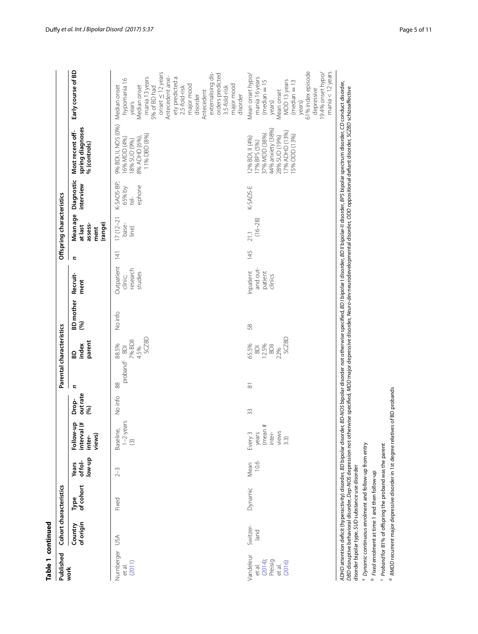| ì      |
|--------|
|        |
|        |
|        |
|        |
|        |
| г      |
| Ú      |
|        |
|        |
| ŧ      |
|        |
| c<br>J |
|        |
|        |
| ٦      |
|        |
|        |

| Published                                                     |                      | Cohort characteristics |                            |                                                                 |                           |                            | Parental characteristics                                      |                          |                                              |                  | Offspring characteristics                         |                                                 |                                                                                                                           |                                                                                                                                                                                                                                                                                                           |
|---------------------------------------------------------------|----------------------|------------------------|----------------------------|-----------------------------------------------------------------|---------------------------|----------------------------|---------------------------------------------------------------|--------------------------|----------------------------------------------|------------------|---------------------------------------------------|-------------------------------------------------|---------------------------------------------------------------------------------------------------------------------------|-----------------------------------------------------------------------------------------------------------------------------------------------------------------------------------------------------------------------------------------------------------------------------------------------------------|
| work                                                          | of origin<br>Country | Type<br>of cohort      | Years<br>of fol-<br>low-up | Ω<br>共<br>Follow-u<br>interval (<br>inter-<br>views)            | out rate<br>Drop-<br>(96) | L,                         | parent<br>index<br>6                                          | <b>BD</b> mother<br>(96) | Recruit-<br>ment                             | L,               | Mean age<br>(range)<br>assess-<br>at last<br>ment | Diagnostic<br>interview                         | spring diagnoses<br>Most recent off-<br>% (controls)                                                                      | Early course of BD                                                                                                                                                                                                                                                                                        |
| Numberger USA<br>et al.<br>$(2011)$                           |                      | Fixed                  | $2 - 3$                    | $1-2$ -years<br>(3)<br>Baseline,                                | No info                   | proband <sup>c</sup><br>88 | SCZBD<br>7% BDII<br>88.5%<br>4.5%<br>$\overline{\mathsf{BD}}$ | No info                  | Outpatient<br>research<br>studies<br>clinic; | $\overline{141}$ | $17(12-21)$<br>base-<br>line)                     | K-SADS-BP;<br>ephone<br>65% by<br>$\frac{1}{2}$ | 9% BDI, II, NOS (0%)<br>11% DBD (8%)<br>8% ADHD (6%)<br>16% MDD (4%)<br>18% SUD (9%)                                      | onset $\leq$ 12 years<br>externalising dis-<br>orders predicted<br>Antecedent anxi-<br>ety predicted a<br>mania 13 years<br>hypomania 16<br>major mood<br>major mood<br>Median onset<br>5% of BD had<br>Median onset<br>$2.5 - 6$ ld-risk<br>3.5-fold-risk<br>Antecedent<br>disorder<br>disorder<br>years |
| Vandeleur<br>et al.<br>(2014);<br>Preisig<br>et al.<br>(2016) | Switzer-<br>land     | Dynamic                | 10.6<br>Mean               | (mean # $inter-$<br>inter-<br>views<br>3.3)<br>years<br>Every 3 | 33                        | $\overline{\infty}$        | SCZBD<br>65.5%<br><b>BDI</b><br>12.5%<br><b>BDII</b><br>22%   | 58                       | and out-<br>Inpatient<br>patient<br>clinics  | 145              | $(16 - 28)$<br>21.1                               | K-SADS-E                                        | 44% anxiety (38%)<br>17% ADHD (13%)<br>37% MDD (38%)<br>15% ODD (13%)<br>28% SUD (19%)<br>2% BDI, II (4%)<br>17% BPS (5%) | 61% index episode<br>mania $<$ 12 years<br>19.4% onset hypo/<br>Mean onset hypo/<br>mania 16 years<br>$(median = 15)$<br>MDD 13 years<br>$(median = 13)$<br>depressive<br>Mean onset<br>years)<br>years)                                                                                                  |

ADHD attention deficit (hyperactivity) disorder, BD bipolar disorder, MOS bipolar disorder, BD bipolar laisorder, BD bipolar-I disorder, BP bipolar spectrum disorder, CD conduct disorder,<br>DBD disruptive behavioral disorder ADHD attention deficit (hyperactivity) disorder, BD bipolar disorder, BD-ADS bipolar disorder, BD bipolar loisorder, BD libipolar-I disorder, BPS bipolar spectrum disorder, CD conduct disorder, DBD disruptive behavioral disorder, Dep-NOS depression not otherwise specified, MDD major depressive disorder, Neuro-dev neurodevelopmental disorder, ODD oppositional defiant disorder, SCZBD schizoaffective disorder bipolar type, SUD substance use disorder disorder bipolar type, *SUD* substance use disorder

<sup>a</sup> Dynamic continuous enrolment and follow-up from entry *Dynamic* continuous enrolment and follow-up from entry

<sup>b</sup> Fixed enrolment at time 1 and then follow-up *Fixed* enrolment at time 1 and then follow-up

· Proband for 81% of offspring the proband was the parent *Proband* for 81% of ofspring the proband was the parent

<sup>d</sup> RMDD recurrent major depressive disorder in 1st degree relatives of BD probands *RMDD* recurrent major depressive disorder in 1st degree relatives of BD probands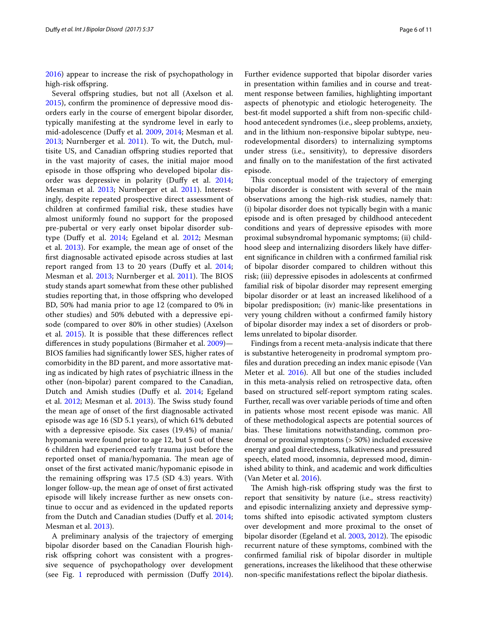[2016](#page-10-10)) appear to increase the risk of psychopathology in high-risk ofspring.

Several ofspring studies, but not all (Axelson et al. [2015\)](#page-9-14), confrm the prominence of depressive mood disorders early in the course of emergent bipolar disorder, typically manifesting at the syndrome level in early to mid-adolescence (Dufy et al. [2009](#page-9-17), [2014;](#page-9-0) Mesman et al. [2013;](#page-10-1) Nurnberger et al. [2011](#page-10-11)). To wit, the Dutch, multisite US, and Canadian ofspring studies reported that in the vast majority of cases, the initial major mood episode in those ofspring who developed bipolar disorder was depressive in polarity (Dufy et al. [2014](#page-9-0); Mesman et al. [2013;](#page-10-1) Nurnberger et al. [2011\)](#page-10-11). Interestingly, despite repeated prospective direct assessment of children at confrmed familial risk, these studies have almost uniformly found no support for the proposed pre-pubertal or very early onset bipolar disorder subtype (Dufy et al. [2014](#page-9-0); Egeland et al. [2012;](#page-9-1) Mesman et al. [2013\)](#page-10-1). For example, the mean age of onset of the frst diagnosable activated episode across studies at last report ranged from 13 to 20 years (Duffy et al. [2014](#page-9-0); Mesman et al. [2013](#page-10-1); Nurnberger et al. [2011\)](#page-10-11). The BIOS study stands apart somewhat from these other published studies reporting that, in those ofspring who developed BD, 50% had mania prior to age 12 (compared to 0% in other studies) and 50% debuted with a depressive episode (compared to over 80% in other studies) (Axelson et al. [2015\)](#page-9-14). It is possible that these diferences refect diferences in study populations (Birmaher et al. [2009](#page-9-11))— BIOS families had signifcantly lower SES, higher rates of comorbidity in the BD parent, and more assortative mating as indicated by high rates of psychiatric illness in the other (non-bipolar) parent compared to the Canadian, Dutch and Amish studies (Dufy et al. [2014;](#page-9-0) Egeland et al. [2012](#page-9-1); Mesman et al. [2013\)](#page-10-1). The Swiss study found the mean age of onset of the frst diagnosable activated episode was age 16 (SD 5.1 years), of which 61% debuted with a depressive episode. Six cases (19.4%) of mania/ hypomania were found prior to age 12, but 5 out of these 6 children had experienced early trauma just before the reported onset of mania/hypomania. The mean age of onset of the frst activated manic/hypomanic episode in the remaining ofspring was 17.5 (SD 4.3) years. With longer follow-up, the mean age of onset of frst activated episode will likely increase further as new onsets continue to occur and as evidenced in the updated reports from the Dutch and Canadian studies (Dufy et al. [2014](#page-9-0); Mesman et al. [2013\)](#page-10-1).

A preliminary analysis of the trajectory of emerging bipolar disorder based on the Canadian Flourish highrisk ofspring cohort was consistent with a progressive sequence of psychopathology over development (see Fig. [1](#page-7-0) reproduced with permission (Duffy [2014](#page-9-18)). Further evidence supported that bipolar disorder varies in presentation within families and in course and treatment response between families, highlighting important aspects of phenotypic and etiologic heterogeneity. The best-ft model supported a shift from non-specifc childhood antecedent syndromes (i.e., sleep problems, anxiety, and in the lithium non-responsive bipolar subtype, neurodevelopmental disorders) to internalizing symptoms under stress (i.e., sensitivity), to depressive disorders and fnally on to the manifestation of the frst activated episode.

This conceptual model of the trajectory of emerging bipolar disorder is consistent with several of the main observations among the high-risk studies, namely that: (i) bipolar disorder does not typically begin with a manic episode and is often presaged by childhood antecedent conditions and years of depressive episodes with more proximal subsyndromal hypomanic symptoms; (ii) childhood sleep and internalizing disorders likely have diferent signifcance in children with a confrmed familial risk of bipolar disorder compared to children without this risk; (iii) depressive episodes in adolescents at confrmed familial risk of bipolar disorder may represent emerging bipolar disorder or at least an increased likelihood of a bipolar predisposition; (iv) manic-like presentations in very young children without a confrmed family history of bipolar disorder may index a set of disorders or problems unrelated to bipolar disorder.

Findings from a recent meta-analysis indicate that there is substantive heterogeneity in prodromal symptom profles and duration preceding an index manic episode (Van Meter et al. [2016\)](#page-10-13). All but one of the studies included in this meta-analysis relied on retrospective data, often based on structured self-report symptom rating scales. Further, recall was over variable periods of time and often in patients whose most recent episode was manic. All of these methodological aspects are potential sources of bias. These limitations notwithstanding, common prodromal or proximal symptoms (> 50%) included excessive energy and goal directedness, talkativeness and pressured speech, elated mood, insomnia, depressed mood, diminished ability to think, and academic and work difficulties (Van Meter et al. [2016](#page-10-13)).

The Amish high-risk offspring study was the first to report that sensitivity by nature (i.e., stress reactivity) and episodic internalizing anxiety and depressive symptoms shifted into episodic activated symptom clusters over development and more proximal to the onset of bipolar disorder (Egeland et al. [2003,](#page-9-16) [2012](#page-9-1)). The episodic recurrent nature of these symptoms, combined with the confrmed familial risk of bipolar disorder in multiple generations, increases the likelihood that these otherwise non-specifc manifestations refect the bipolar diathesis.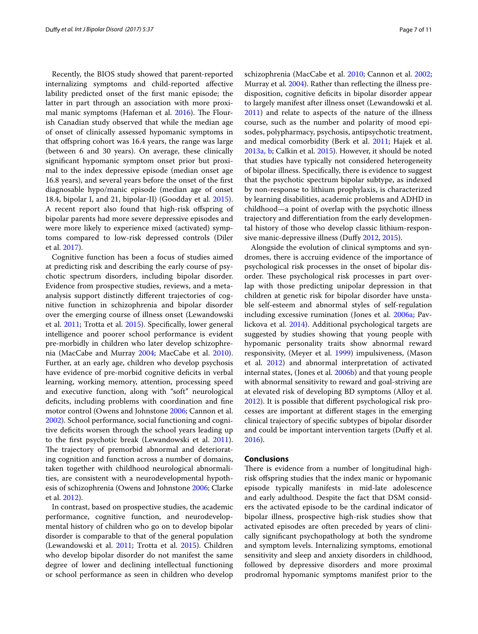Recently, the BIOS study showed that parent-reported internalizing symptoms and child-reported afective lability predicted onset of the frst manic episode; the latter in part through an association with more proxi-mal manic symptoms (Hafeman et al. [2016](#page-9-19)). The Flourish Canadian study observed that while the median age of onset of clinically assessed hypomanic symptoms in that offspring cohort was 16.4 years, the range was large (between 6 and 30 years). On average, these clinically signifcant hypomanic symptom onset prior but proximal to the index depressive episode (median onset age 16.8 years), and several years before the onset of the frst diagnosable hypo/manic episode (median age of onset 18.4, bipolar I, and 21, bipolar-II) (Goodday et al. [2015](#page-9-7)). A recent report also found that high-risk ofspring of bipolar parents had more severe depressive episodes and were more likely to experience mixed (activated) symptoms compared to low-risk depressed controls (Diler et al. [2017\)](#page-9-20).

Cognitive function has been a focus of studies aimed at predicting risk and describing the early course of psychotic spectrum disorders, including bipolar disorder. Evidence from prospective studies, reviews, and a metaanalysis support distinctly diferent trajectories of cognitive function in schizophrenia and bipolar disorder over the emerging course of illness onset (Lewandowski et al. [2011](#page-9-21); Trotta et al. [2015\)](#page-10-14). Specifcally, lower general intelligence and poorer school performance is evident pre-morbidly in children who later develop schizophrenia (MacCabe and Murray [2004](#page-10-15); MacCabe et al. [2010](#page-10-16)). Further, at an early age, children who develop psychosis have evidence of pre-morbid cognitive deficits in verbal learning, working memory, attention, processing speed and executive function, along with "soft" neurological deficits, including problems with coordination and fine motor control (Owens and Johnstone [2006](#page-10-17); Cannon et al. [2002](#page-9-22)). School performance, social functioning and cognitive deficits worsen through the school years leading up to the frst psychotic break (Lewandowski et al. [2011](#page-9-21)). The trajectory of premorbid abnormal and deteriorating cognition and function across a number of domains, taken together with childhood neurological abnormalities, are consistent with a neurodevelopmental hypothesis of schizophrenia (Owens and Johnstone [2006](#page-10-17); Clarke et al. [2012\)](#page-9-23).

In contrast, based on prospective studies, the academic performance, cognitive function, and neurodevelopmental history of children who go on to develop bipolar disorder is comparable to that of the general population (Lewandowski et al. [2011](#page-9-21); Trotta et al. [2015\)](#page-10-14). Children who develop bipolar disorder do not manifest the same degree of lower and declining intellectual functioning or school performance as seen in children who develop

schizophrenia (MacCabe et al. [2010;](#page-10-16) Cannon et al. [2002](#page-9-22); Murray et al. [2004](#page-10-18)). Rather than refecting the illness predisposition, cognitive deficits in bipolar disorder appear to largely manifest after illness onset (Lewandowski et al. [2011](#page-9-21)) and relate to aspects of the nature of the illness course, such as the number and polarity of mood episodes, polypharmacy, psychosis, antipsychotic treatment, and medical comorbidity (Berk et al. [2011](#page-9-24); Hajek et al. [2013a](#page-9-25), [b](#page-9-26); Calkin et al. [2015](#page-9-27)). However, it should be noted that studies have typically not considered heterogeneity of bipolar illness. Specifcally, there is evidence to suggest that the psychotic spectrum bipolar subtype, as indexed by non-response to lithium prophylaxis, is characterized by learning disabilities, academic problems and ADHD in childhood—a point of overlap with the psychotic illness trajectory and diferentiation from the early developmental history of those who develop classic lithium-responsive manic-depressive illness (Dufy [2012,](#page-9-13) [2015](#page-9-28)).

Alongside the evolution of clinical symptoms and syndromes, there is accruing evidence of the importance of psychological risk processes in the onset of bipolar disorder. These psychological risk processes in part overlap with those predicting unipolar depression in that children at genetic risk for bipolar disorder have unstable self-esteem and abnormal styles of self-regulation including excessive rumination (Jones et al. [2006a;](#page-9-29) Pavlickova et al. [2014](#page-10-19)). Additional psychological targets are suggested by studies showing that young people with hypomanic personality traits show abnormal reward responsivity, (Meyer et al. [1999](#page-10-20)) impulsiveness, (Mason et al. [2012](#page-10-21)) and abnormal interpretation of activated internal states, (Jones et al. [2006b\)](#page-9-30) and that young people with abnormal sensitivity to reward and goal-striving are at elevated risk of developing BD symptoms (Alloy et al. [2012](#page-9-31)). It is possible that diferent psychological risk processes are important at diferent stages in the emerging clinical trajectory of specifc subtypes of bipolar disorder and could be important intervention targets (Dufy et al. [2016](#page-9-8)).

# **Conclusions**

There is evidence from a number of longitudinal highrisk ofspring studies that the index manic or hypomanic episode typically manifests in mid-late adolescence and early adulthood. Despite the fact that DSM considers the activated episode to be the cardinal indicator of bipolar illness, prospective high-risk studies show that activated episodes are often preceded by years of clinically signifcant psychopathology at both the syndrome and symptom levels. Internalizing symptoms, emotional sensitivity and sleep and anxiety disorders in childhood, followed by depressive disorders and more proximal prodromal hypomanic symptoms manifest prior to the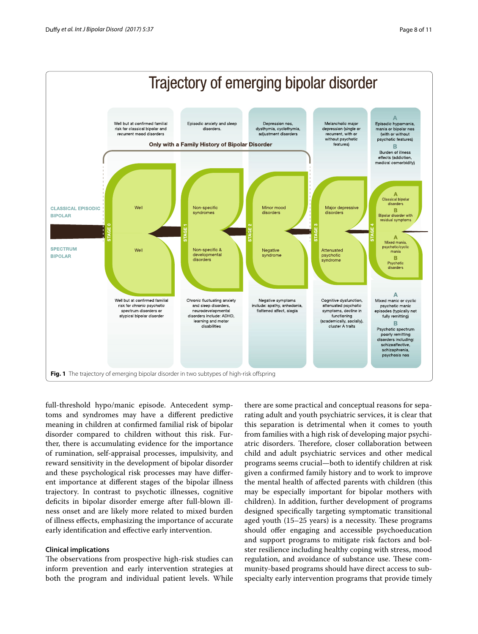

<span id="page-7-0"></span>full-threshold hypo/manic episode. Antecedent symptoms and syndromes may have a diferent predictive meaning in children at confrmed familial risk of bipolar disorder compared to children without this risk. Further, there is accumulating evidence for the importance of rumination, self-appraisal processes, impulsivity, and reward sensitivity in the development of bipolar disorder and these psychological risk processes may have diferent importance at diferent stages of the bipolar illness trajectory. In contrast to psychotic illnesses, cognitive deficits in bipolar disorder emerge after full-blown illness onset and are likely more related to mixed burden of illness efects, emphasizing the importance of accurate early identifcation and efective early intervention.

# **Clinical implications**

The observations from prospective high-risk studies can inform prevention and early intervention strategies at both the program and individual patient levels. While there are some practical and conceptual reasons for separating adult and youth psychiatric services, it is clear that this separation is detrimental when it comes to youth from families with a high risk of developing major psychiatric disorders. Therefore, closer collaboration between child and adult psychiatric services and other medical programs seems crucial—both to identify children at risk given a confrmed family history and to work to improve the mental health of afected parents with children (this may be especially important for bipolar mothers with children). In addition, further development of programs designed specifcally targeting symptomatic transitional aged youth  $(15-25 \text{ years})$  is a necessity. These programs should offer engaging and accessible psychoeducation and support programs to mitigate risk factors and bolster resilience including healthy coping with stress, mood regulation, and avoidance of substance use. These community-based programs should have direct access to subspecialty early intervention programs that provide timely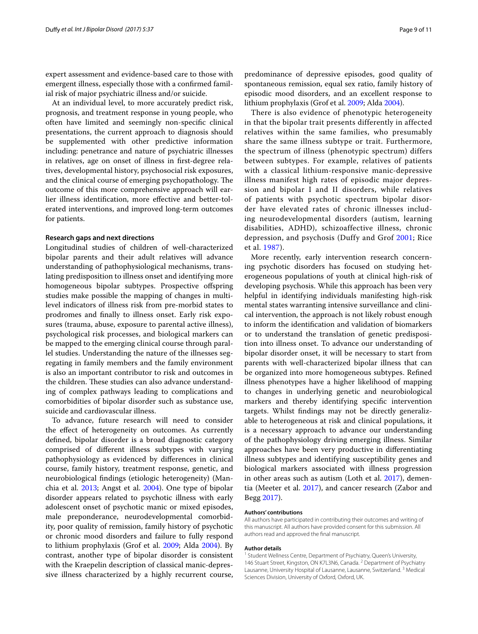expert assessment and evidence-based care to those with emergent illness, especially those with a confrmed familial risk of major psychiatric illness and/or suicide.

At an individual level, to more accurately predict risk, prognosis, and treatment response in young people, who often have limited and seemingly non-specifc clinical presentations, the current approach to diagnosis should be supplemented with other predictive information including: penetrance and nature of psychiatric illnesses in relatives, age on onset of illness in frst-degree relatives, developmental history, psychosocial risk exposures, and the clinical course of emerging psychopathology. The outcome of this more comprehensive approach will earlier illness identifcation, more efective and better-tolerated interventions, and improved long-term outcomes for patients.

## **Research gaps and next directions**

Longitudinal studies of children of well-characterized bipolar parents and their adult relatives will advance understanding of pathophysiological mechanisms, translating predisposition to illness onset and identifying more homogeneous bipolar subtypes. Prospective offspring studies make possible the mapping of changes in multilevel indicators of illness risk from pre-morbid states to prodromes and fnally to illness onset. Early risk exposures (trauma, abuse, exposure to parental active illness), psychological risk processes, and biological markers can be mapped to the emerging clinical course through parallel studies. Understanding the nature of the illnesses segregating in family members and the family environment is also an important contributor to risk and outcomes in the children. These studies can also advance understanding of complex pathways leading to complications and comorbidities of bipolar disorder such as substance use, suicide and cardiovascular illness.

To advance, future research will need to consider the efect of heterogeneity on outcomes. As currently defned, bipolar disorder is a broad diagnostic category comprised of diferent illness subtypes with varying pathophysiology as evidenced by diferences in clinical course, family history, treatment response, genetic, and neurobiological fndings (etiologic heterogeneity) (Manchia et al. [2013;](#page-10-22) Angst et al. [2004](#page-9-32)). One type of bipolar disorder appears related to psychotic illness with early adolescent onset of psychotic manic or mixed episodes, male preponderance, neurodevelopmental comorbidity, poor quality of remission, family history of psychotic or chronic mood disorders and failure to fully respond to lithium prophylaxis (Grof et al. [2009;](#page-9-33) Alda [2004](#page-9-34)). By contrast, another type of bipolar disorder is consistent with the Kraepelin description of classical manic-depressive illness characterized by a highly recurrent course,

predominance of depressive episodes, good quality of spontaneous remission, equal sex ratio, family history of episodic mood disorders, and an excellent response to lithium prophylaxis (Grof et al. [2009;](#page-9-33) Alda [2004\)](#page-9-34).

There is also evidence of phenotypic heterogeneity in that the bipolar trait presents differently in affected relatives within the same families, who presumably share the same illness subtype or trait. Furthermore, the spectrum of illness (phenotypic spectrum) differs between subtypes. For example, relatives of patients with a classical lithium-responsive manic-depressive illness manifest high rates of episodic major depression and bipolar I and II disorders, while relatives of patients with psychotic spectrum bipolar disorder have elevated rates of chronic illnesses including neurodevelopmental disorders (autism, learning disabilities, ADHD), schizoaffective illness, chronic depression, and psychosis (Duffy and Grof [2001;](#page-9-35) Rice et al. [1987\)](#page-10-23).

More recently, early intervention research concerning psychotic disorders has focused on studying heterogeneous populations of youth at clinical high-risk of developing psychosis. While this approach has been very helpful in identifying individuals manifesting high-risk mental states warranting intensive surveillance and clinical intervention, the approach is not likely robust enough to inform the identifcation and validation of biomarkers or to understand the translation of genetic predisposition into illness onset. To advance our understanding of bipolar disorder onset, it will be necessary to start from parents with well-characterized bipolar illness that can be organized into more homogeneous subtypes. Refned illness phenotypes have a higher likelihood of mapping to changes in underlying genetic and neurobiological markers and thereby identifying specifc intervention targets. Whilst fndings may not be directly generalizable to heterogeneous at risk and clinical populations, it is a necessary approach to advance our understanding of the pathophysiology driving emerging illness. Similar approaches have been very productive in diferentiating illness subtypes and identifying susceptibility genes and biological markers associated with illness progression in other areas such as autism (Loth et al. [2017\)](#page-10-24), dementia (Meeter et al. [2017](#page-10-25)), and cancer research (Zabor and Begg [2017\)](#page-10-26).

## **Authors' contributions**

All authors have participated in contributing their outcomes and writing of this manuscript. All authors have provided consent for this submission. All authors read and approved the fnal manuscript.

#### **Author details**

<sup>1</sup> Student Wellness Centre, Department of Psychiatry, Queen's University, 146 Stuart Street, Kingston, ON K7L3N6, Canada.<sup>2</sup> Department of Psychiatry Lausanne, University Hospital of Lausanne, Lausanne, Switzerland. 3 Medical Sciences Division, University of Oxford, Oxford, UK.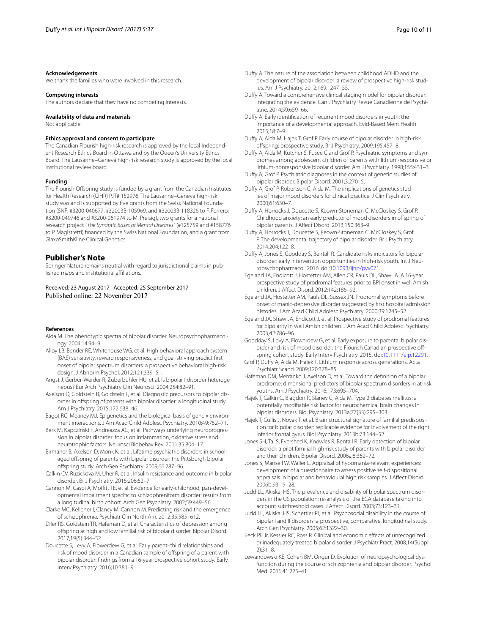#### **Acknowledgements**

We thank the families who were involved in this research.

## **Competing interests**

The authors declare that they have no competing interests.

# **Availability of data and materials**

Not applicable.

#### **Ethics approval and consent to participate**

The Canadian Flourish high-risk research is approved by the local Independent Research Ethics Board in Ottawa and by the Queen's University Ethics Board. The Lausanne–Geneva high-risk research study is approved by the local institutional review board.

### **Funding**

The Flourish Offspring study is funded by a grant from the Canadian Institutes for Health Research (CIHR) PJT# 152976. The Lausanne–Geneva high-risk study was and is supported by fve grants from the Swiss National Foundation (SNF: #3200-040677, #32003B-105969, and #32003B-118326 to F. Ferrero; #3200-049746 and #3200-061974 to M. Preisig), two grants for a national research project *"The Synaptic Bases of Mental Diseases"* (#125759 and #158776 to P. Magistretti) fnanced by the Swiss National Foundation, and a grant from GlaxoSmithKline Clinical Genetics.

# **Publisher's Note**

Springer Nature remains neutral with regard to jurisdictional claims in published maps and institutional afliations.

## Received: 23 August 2017 Accepted: 25 September 2017 Published online: 22 November 2017

#### **References**

- <span id="page-9-34"></span>Alda M. The phenotypic spectra of bipolar disorder. Neuropsychopharmacology. 2004;14:94–9.
- <span id="page-9-31"></span>Alloy LB, Bender RE, Whitehouse WG, et al. High behavioral approach system (BAS) sensitivity, reward responsiveness, and goal-striving predict frst onset of bipolar spectrum disorders: a prospective behavioral high-risk design. J Abnorm Psychol. 2012;121:339–51.
- <span id="page-9-32"></span>Angst J, Gerber-Werder R, Zuberbuhler HU, et al. Is bipolar I disorder heterogeneous? Eur Arch Psychiatry Clin Neurosci. 2004;254:82–91.
- <span id="page-9-14"></span>Axelson D, Goldstein B, Goldstein T, et al. Diagnostic precursors to bipolar disorder in ofspring of parents with bipolar disorder: a longitudinal study. Am J Psychiatry. 2015;172:638–46.
- <span id="page-9-10"></span>Bagot RC, Meaney MJ. Epigenetics and the biological basis of gene x environment interactions. J Am Acad Child Adolesc Psychiatry. 2010;49:752–71.
- <span id="page-9-24"></span>Berk M, Kapczinski F, Andreazza AC, et al. Pathways underlying neuroprogression in bipolar disorder: focus on infammation, oxidative stress and neurotrophic factors. Neurosci Biobehav Rev. 2011;35:804–17.
- <span id="page-9-11"></span>Birmaher B, Axelson D, Monk K, et al. Lifetime psychiatric disorders in schoolaged ofspring of parents with bipolar disorder: the Pittsburgh bipolar ofspring study. Arch Gen Psychiatry. 2009;66:287–96.
- <span id="page-9-27"></span>Calkin CV, Ruzickova M, Uher R, et al. Insulin resistance and outcome in bipolar disorder. Br J Psychiatry. 2015;206:52–7.
- <span id="page-9-22"></span>Cannon M, Caspi A, Moffitt TE, et al. Evidence for early-childhood, pan-developmental impairment specifc to schizophreniform disorder: results from a longitudinal birth cohort. Arch Gen Psychiatry. 2002;59:449–56.
- <span id="page-9-23"></span>Clarke MC, Kelleher I, Clancy M, Cannon M. Predicting risk and the emergence of schizophrenia. Psychiatr Clin North Am. 2012;35:585–612.
- <span id="page-9-20"></span>Diler RS, Goldstein TR, Hafeman D, et al. Characteristics of depression among ofspring at high and low familial risk of bipolar disorder. Bipolar Disord. 2017;19(5):344–52.
- <span id="page-9-9"></span>Doucette S, Levy A, Flowerdew G, et al. Early parent-child relationships and risk of mood disorder in a Canadian sample of ofspring of a parent with bipolar disorder: fndings from a 16-year prospective cohort study. Early Interv Psychiatry. 2016;10:381–9.
- <span id="page-9-13"></span>Dufy A. The nature of the association between childhood ADHD and the development of bipolar disorder: a review of prospective high-risk studies. Am J Psychiatry. 2012;169:1247–55.
- <span id="page-9-18"></span>Dufy A. Toward a comprehensive clinical staging model for bipolar disorder: integrating the evidence. Can J Psychiatry Revue Canadienne de Psychiatrie. 2014;59:659–66.
- <span id="page-9-28"></span>Dufy A. Early identifcation of recurrent mood disorders in youth: the importance of a developmental approach. Evid-Based Ment Health. 2015;18:7–9.
- <span id="page-9-17"></span>Dufy A, Alda M, Hajek T, Grof P. Early course of bipolar disorder in high-risk ofspring: prospective study. Br J Psychiatry. 2009;195:457–8.
- <span id="page-9-15"></span>Dufy A, Alda M, Kutcher S, Fusee C and Grof P. Psychiatric symptoms and syndromes among adolescent children of parents with lithium-responsive or lithium-nonresponsive bipolar disorder. Am J Psychiatry. 1998;155:431–3.
- <span id="page-9-35"></span>Dufy A, Grof P. Psychiatric diagnoses in the context of genetic studies of bipolar disorder. Bipolar Disord. 2001;3:270–5.
- <span id="page-9-6"></span>Dufy A, Grof P, Robertson C, Alda M. The implications of genetics studies of major mood disorders for clinical practice. J Clin Psychiatry. 2000;61:630–7.
- <span id="page-9-12"></span>Dufy A, Horrocks J, Doucette S, Keown-Stoneman C, McCloskey S, Grof P. Childhood anxiety: an early predictor of mood disorders in ofspring of bipolar parents. J Afect Disord. 2013;150:363–9.
- <span id="page-9-0"></span>Dufy A, Horrocks J, Doucette S, Keown-Stoneman C, McCloskey S, Grof P. The developmental trajectory of bipolar disorder. Br J Psychiatry. 2014;204:122–8.
- <span id="page-9-8"></span>Dufy A, Jones S, Goodday S, Bentall R. Candidate risks indicators for bipolar disorder: early intervention opportunities in high-risk youth. Int J Neuropsychopharmacol. 2016. doi[:10.1093/ijnp/pyv071.](http://dx.doi.org/10.1093/ijnp/pyv071)
- <span id="page-9-1"></span>Egeland JA, Endicott J, Hostetter AM, Allen CR, Pauls DL, Shaw JA. A 16-year prospective study of prodromal features prior to BPI onset in well Amish children. J Afect Disord. 2012;142:186–92.
- <span id="page-9-2"></span>Egeland JA, Hostetter AM, Pauls DL, Sussex JN. Prodromal symptoms before onset of manic-depressive disorder suggested by frst hospital admission histories. J Am Acad Child Adolesc Psychiatry. 2000;39:1245–52.
- <span id="page-9-16"></span>Egeland JA, Shaw JA, Endicott J, et al. Prospective study of prodromal features for bipolarity in well Amish children. J Am Acad Child Adolesc Psychiatry. 2003;42:786–96.
- <span id="page-9-7"></span>Goodday S, Levy A, Flowerdew G, et al. Early exposure to parental bipolar disorder and risk of mood disorder: the Flourish Canadian prospective ofspring cohort study. Early Interv Psychiatry. 2015. doi[:10.1111/eip.12291.](http://dx.doi.org/10.1111/eip.12291)
- <span id="page-9-33"></span>Grof P, Dufy A, Alda M, Hajek T. Lithium response across generations. Acta Psychiatr Scand. 2009;120:378–85.
- <span id="page-9-19"></span>Hafeman DM, Merranko J, Axelson D, et al. Toward the defnition of a bipolar prodrome: dimensional predictors of bipolar spectrum disorders in at-risk youths. Am J Psychiatry. 2016;173:695–704.
- <span id="page-9-25"></span>Hajek T, Calkin C, Blagdon R, Slaney C, Alda M. Type 2 diabetes mellitus: a potentially modifable risk factor for neurochemical brain changes in bipolar disorders. Biol Psychiatry. 2013a;77(33):295–303.
- <span id="page-9-26"></span>Hajek T, Cullis J, Novak T, et al. Brain structural signature of familial predisposition for bipolar disorder: replicable evidence for involvement of the right inferior frontal gyrus. Biol Psychiatry. 2013b;73:144–52.
- <span id="page-9-29"></span>Jones SH, Tai S, Evershed K, Knowles R, Bentall R. Early detection of bipolar disorder: a pilot familial high-risk study of parents with bipolar disorder and their children. Bipolar Disord. 2006a;8:362–72.
- <span id="page-9-30"></span>Jones S, Mansell W, Waller L. Appraisal of hypomania-relevant experiences: development of a questionnaire to assess positive self-dispositional appraisals in bipolar and behavioural high risk samples. J Afect Disord. 2006b;93:19–28.
- <span id="page-9-3"></span>Judd LL, Akiskal HS. The prevalence and disability of bipolar spectrum disorders in the US population: re-analysis of the ECA database taking into account subthreshold cases. J Afect Disord. 2003;73:123–31.
- <span id="page-9-4"></span>Judd LL, Akiskal HS, Schettler PJ, et al. Psychosocial disability in the course of bipolar I and II disorders: a prospective, comparative, longitudinal study. Arch Gen Psychiatry. 2005;62:1322–30.
- <span id="page-9-5"></span>Keck PE Jr, Kessler RC, Ross R. Clinical and economic efects of unrecognized or inadequately treated bipolar disorder. J Psychiatr Pract. 2008;14(Suppl 2):31–8.
- <span id="page-9-21"></span>Lewandowski KE, Cohen BM, Ongur D. Evolution of neuropsychological dysfunction during the course of schizophrenia and bipolar disorder. Psychol Med. 2011;41:225–41.